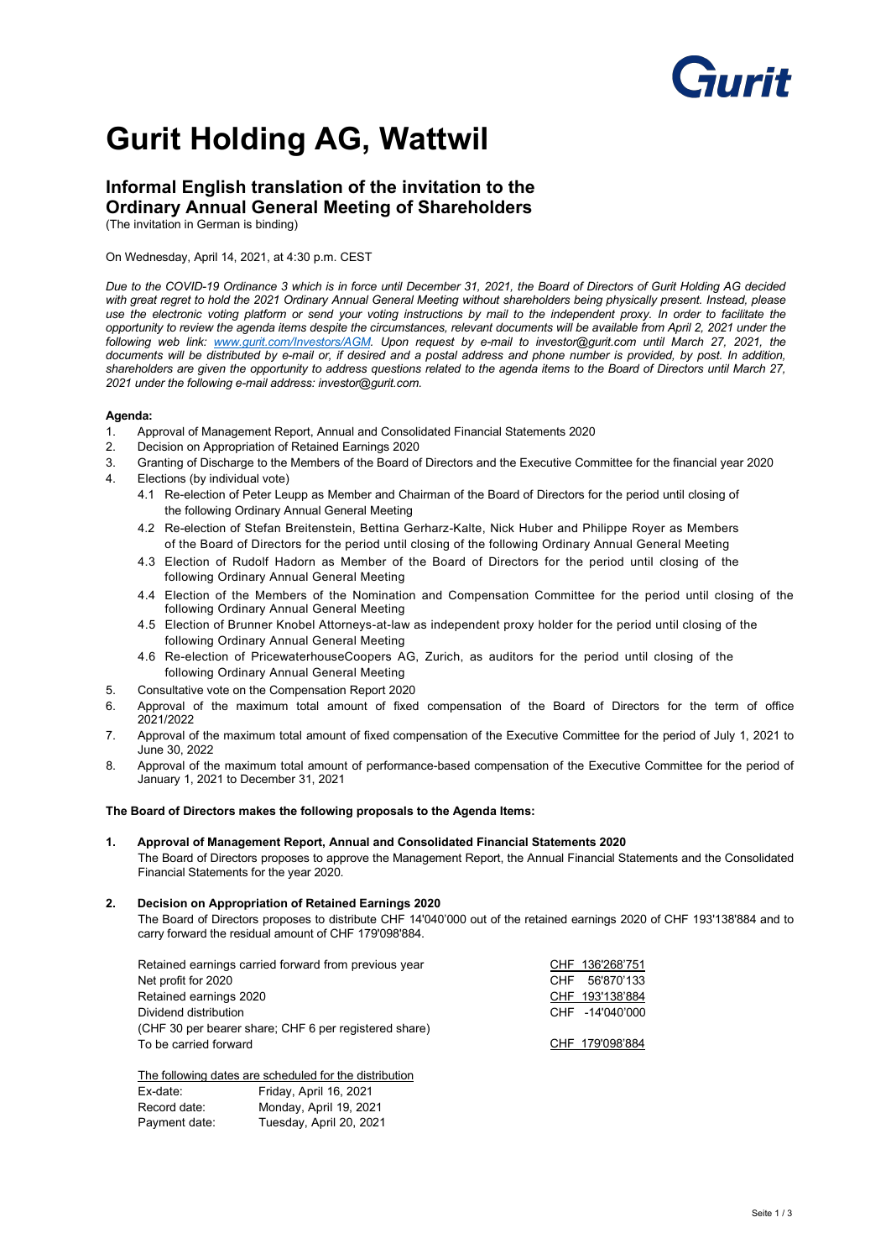# **Funzit**

## **Gurit Holding AG, Wattwil**

### **Informal English translation of the invitation to the Ordinary Annual General Meeting of Shareholders**

(The invitation in German is binding)

#### On Wednesday, April 14, 2021, at 4:30 p.m. CEST

*Due to the COVID-19 Ordinance 3 which is in force until December 31, 2021, the Board of Directors of Gurit Holding AG decided with great regret to hold the 2021 Ordinary Annual General Meeting without shareholders being physically present. Instead, please use the electronic voting platform or send your voting instructions by mail to the independent proxy. In order to facilitate the opportunity to review the agenda items despite the circumstances, relevant documents will be available from April 2, 2021 under the following web link: [www.gurit.com/Investors/AGM.](http://www.gurit.com/Investors/AGM) Upon request by e-mail to investor@gurit.com until March 27, 2021, the documents will be distributed by e-mail or, if desired and a postal address and phone number is provided, by post. In addition, shareholders are given the opportunity to address questions related to the agenda items to the Board of Directors until March 27, 2021 under the following e-mail address: investor@gurit.com.*

#### **Agenda:**

- 1. Approval of Management Report, Annual and Consolidated Financial Statements 2020
- 2. Decision on Appropriation of Retained Earnings 2020
- 3. Granting of Discharge to the Members of the Board of Directors and the Executive Committee for the financial year 2020 4. Elections (by individual vote)
- - 4.1 Re-election of Peter Leupp as Member and Chairman of the Board of Directors for the period until closing of the following Ordinary Annual General Meeting
	- 4.2 Re-election of Stefan Breitenstein, Bettina Gerharz-Kalte, Nick Huber and Philippe Royer as Members of the Board of Directors for the period until closing of the following Ordinary Annual General Meeting
	- 4.3 Election of Rudolf Hadorn as Member of the Board of Directors for the period until closing of the following Ordinary Annual General Meeting
	- 4.4 Election of the Members of the Nomination and Compensation Committee for the period until closing of the following Ordinary Annual General Meeting
	- 4.5 Election of Brunner Knobel Attorneys-at-law as independent proxy holder for the period until closing of the following Ordinary Annual General Meeting
	- 4.6 Re-election of PricewaterhouseCoopers AG, Zurich, as auditors for the period until closing of the following Ordinary Annual General Meeting
- 5. Consultative vote on the Compensation Report 2020
- 6. Approval of the maximum total amount of fixed compensation of the Board of Directors for the term of office 2021/2022
- 7. Approval of the maximum total amount of fixed compensation of the Executive Committee for the period of July 1, 2021 to June 30, 2022
- 8. Approval of the maximum total amount of performance-based compensation of the Executive Committee for the period of January 1, 2021 to December 31, 2021

#### **The Board of Directors makes the following proposals to the Agenda Items:**

#### **1. Approval of Management Report, Annual and Consolidated Financial Statements 2020**

The Board of Directors proposes to approve the Management Report, the Annual Financial Statements and the Consolidated Financial Statements for the year 2020.

#### **2. Decision on Appropriation of Retained Earnings 2020**

The Board of Directors proposes to distribute CHF 14'040'000 out of the retained earnings 2020 of CHF 193'138'884 and to carry forward the residual amount of CHF 179'098'884.

| Retained earnings carried forward from previous year  | CHF 136'268'751    |
|-------------------------------------------------------|--------------------|
| Net profit for 2020                                   | 56'870'133<br>CHF. |
| Retained earnings 2020                                | CHF 193'138'884    |
| Dividend distribution                                 | CHF -14'040'000    |
| (CHF 30 per bearer share; CHF 6 per registered share) |                    |
| To be carried forward                                 | CHF 179'098'884    |
|                                                       |                    |

The following dates are scheduled for the distribution

| Ex-date:      | Friday, April 16, 2021  |
|---------------|-------------------------|
| Record date:  | Monday, April 19, 2021  |
| Payment date: | Tuesday, April 20, 2021 |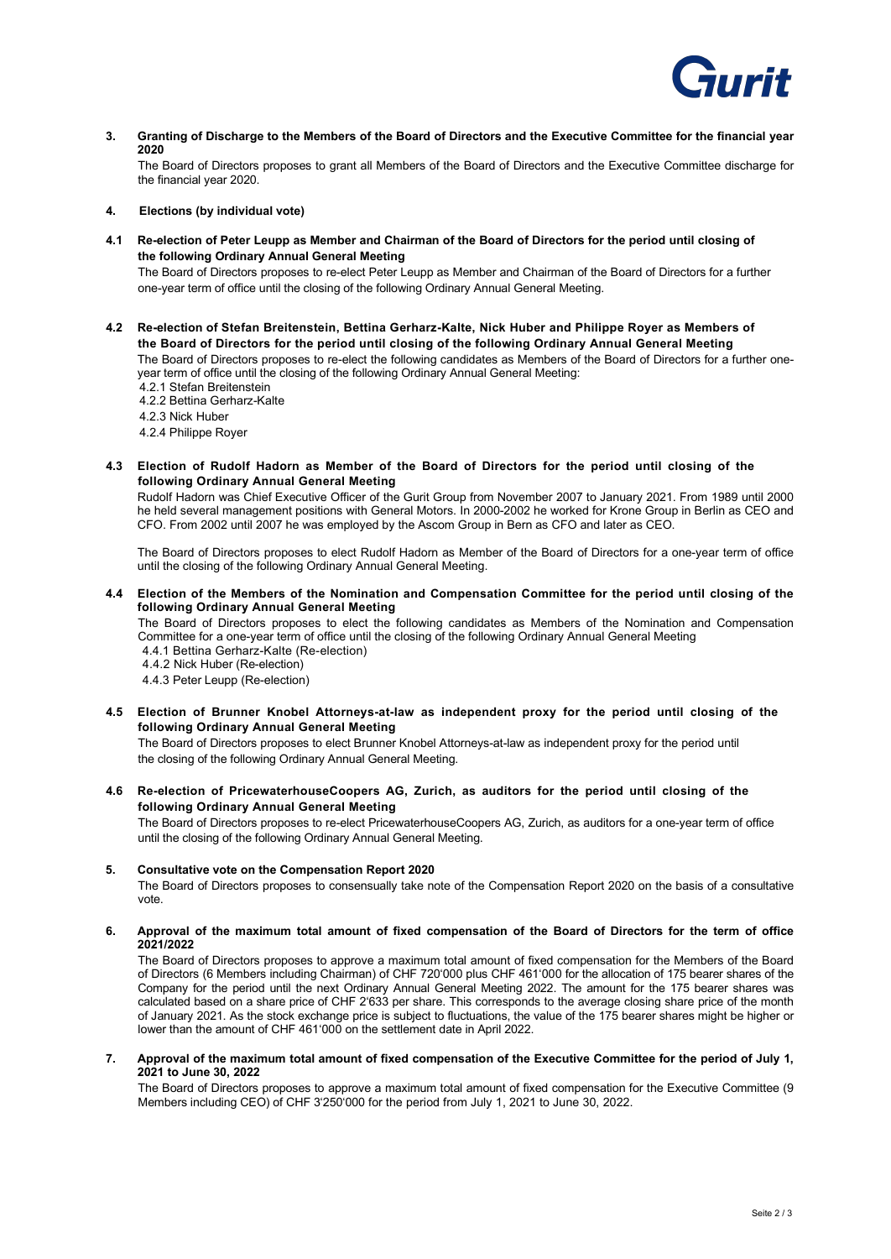

**3. Granting of Discharge to the Members of the Board of Directors and the Executive Committee for the financial year 2020**

The Board of Directors proposes to grant all Members of the Board of Directors and the Executive Committee discharge for the financial year 2020.

#### **4. Elections (by individual vote)**

**4.1 Re-election of Peter Leupp as Member and Chairman of the Board of Directors for the period until closing of the following Ordinary Annual General Meeting**

The Board of Directors proposes to re-elect Peter Leupp as Member and Chairman of the Board of Directors for a further one-year term of office until the closing of the following Ordinary Annual General Meeting.

**4.2 Re-election of Stefan Breitenstein, Bettina Gerharz-Kalte, Nick Huber and Philippe Royer as Members of the Board of Directors for the period until closing of the following Ordinary Annual General Meeting**

The Board of Directors proposes to re-elect the following candidates as Members of the Board of Directors for a further oneyear term of office until the closing of the following Ordinary Annual General Meeting:

- 4.2.1 Stefan Breitenstein 4.2.2 Bettina Gerharz-Kalte
- 
- 4.2.3 Nick Huber
- 4.2.4 Philippe Royer
- **4.3 Election of Rudolf Hadorn as Member of the Board of Directors for the period until closing of the following Ordinary Annual General Meeting**

Rudolf Hadorn was Chief Executive Officer of the Gurit Group from November 2007 to January 2021. From 1989 until 2000 he held several management positions with General Motors. In 2000-2002 he worked for Krone Group in Berlin as CEO and CFO. From 2002 until 2007 he was employed by the Ascom Group in Bern as CFO and later as CEO.

The Board of Directors proposes to elect Rudolf Hadorn as Member of the Board of Directors for a one-year term of office until the closing of the following Ordinary Annual General Meeting.

**4.4 Election of the Members of the Nomination and Compensation Committee for the period until closing of the following Ordinary Annual General Meeting**

The Board of Directors proposes to elect the following candidates as Members of the Nomination and Compensation Committee for a one-year term of office until the closing of the following Ordinary Annual General Meeting 4.4.1 Bettina Gerharz-Kalte (Re-election)

4.4.2 Nick Huber (Re-election)

4.4.3 Peter Leupp (Re-election)

**4.5 Election of Brunner Knobel Attorneys-at-law as independent proxy for the period until closing of the following Ordinary Annual General Meeting**

The Board of Directors proposes to elect Brunner Knobel Attorneys-at-law as independent proxy for the period until the closing of the following Ordinary Annual General Meeting.

**4.6 Re-election of PricewaterhouseCoopers AG, Zurich, as auditors for the period until closing of the following Ordinary Annual General Meeting**

The Board of Directors proposes to re-elect PricewaterhouseCoopers AG, Zurich, as auditors for a one-year term of office until the closing of the following Ordinary Annual General Meeting.

#### **5. Consultative vote on the Compensation Report 2020**

The Board of Directors proposes to consensually take note of the Compensation Report 2020 on the basis of a consultative vote.

#### **6. Approval of the maximum total amount of fixed compensation of the Board of Directors for the term of office 2021/2022**

The Board of Directors proposes to approve a maximum total amount of fixed compensation for the Members of the Board of Directors (6 Members including Chairman) of CHF 720'000 plus CHF 461'000 for the allocation of 175 bearer shares of the Company for the period until the next Ordinary Annual General Meeting 2022. The amount for the 175 bearer shares was calculated based on a share price of CHF 2'633 per share. This corresponds to the average closing share price of the month of January 2021. As the stock exchange price is subject to fluctuations, the value of the 175 bearer shares might be higher or lower than the amount of CHF 461'000 on the settlement date in April 2022.

**7. Approval of the maximum total amount of fixed compensation of the Executive Committee for the period of July 1, 2021 to June 30, 2022**

The Board of Directors proposes to approve a maximum total amount of fixed compensation for the Executive Committee (9 Members including CEO) of CHF 3'250'000 for the period from July 1, 2021 to June 30, 2022.